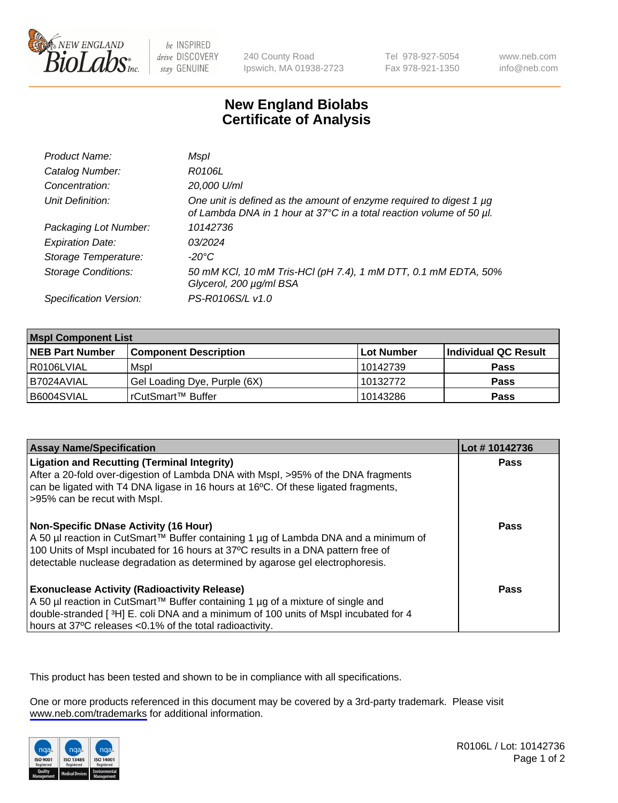

be INSPIRED drive DISCOVERY stay GENUINE

240 County Road Ipswich, MA 01938-2723 Tel 978-927-5054 Fax 978-921-1350

www.neb.com info@neb.com

## **New England Biolabs Certificate of Analysis**

| Product Name:              | Mspl                                                                                                                                        |
|----------------------------|---------------------------------------------------------------------------------------------------------------------------------------------|
| Catalog Number:            | R0106L                                                                                                                                      |
| Concentration:             | 20,000 U/ml                                                                                                                                 |
| Unit Definition:           | One unit is defined as the amount of enzyme required to digest 1 µg<br>of Lambda DNA in 1 hour at 37°C in a total reaction volume of 50 µl. |
| Packaging Lot Number:      | 10142736                                                                                                                                    |
| <b>Expiration Date:</b>    | 03/2024                                                                                                                                     |
| Storage Temperature:       | $-20^{\circ}$ C                                                                                                                             |
| <b>Storage Conditions:</b> | 50 mM KCl, 10 mM Tris-HCl (pH 7.4), 1 mM DTT, 0.1 mM EDTA, 50%<br>Glycerol, 200 µg/ml BSA                                                   |
| Specification Version:     | PS-R0106S/L v1.0                                                                                                                            |

| <b>Mspl Component List</b> |                              |            |                      |  |
|----------------------------|------------------------------|------------|----------------------|--|
| <b>NEB Part Number</b>     | <b>Component Description</b> | Lot Number | Individual QC Result |  |
| I R0106LVIAL               | Mspl                         | 10142739   | <b>Pass</b>          |  |
| I B7024AVIAL               | Gel Loading Dye, Purple (6X) | 10132772   | <b>Pass</b>          |  |
| B6004SVIAL                 | rCutSmart™ Buffer            | 10143286   | <b>Pass</b>          |  |

| <b>Assay Name/Specification</b>                                                                                                                                                                                                                                                                      | Lot #10142736 |
|------------------------------------------------------------------------------------------------------------------------------------------------------------------------------------------------------------------------------------------------------------------------------------------------------|---------------|
| <b>Ligation and Recutting (Terminal Integrity)</b><br>After a 20-fold over-digestion of Lambda DNA with Mspl, >95% of the DNA fragments<br>can be ligated with T4 DNA ligase in 16 hours at 16 $\degree$ C. Of these ligated fragments,<br>>95% can be recut with Mspl.                              | <b>Pass</b>   |
| Non-Specific DNase Activity (16 Hour)<br>  A 50 µl reaction in CutSmart™ Buffer containing 1 µg of Lambda DNA and a minimum of<br>100 Units of Mspl incubated for 16 hours at 37°C results in a DNA pattern free of<br>detectable nuclease degradation as determined by agarose gel electrophoresis. | Pass          |
| Exonuclease Activity (Radioactivity Release)<br>  A 50 µl reaction in CutSmart™ Buffer containing 1 µg of a mixture of single and<br>double-stranded [3H] E. coli DNA and a minimum of 100 units of Mspl incubated for 4<br>hours at 37°C releases <0.1% of the total radioactivity.                 | Pass          |

This product has been tested and shown to be in compliance with all specifications.

One or more products referenced in this document may be covered by a 3rd-party trademark. Please visit <www.neb.com/trademarks>for additional information.